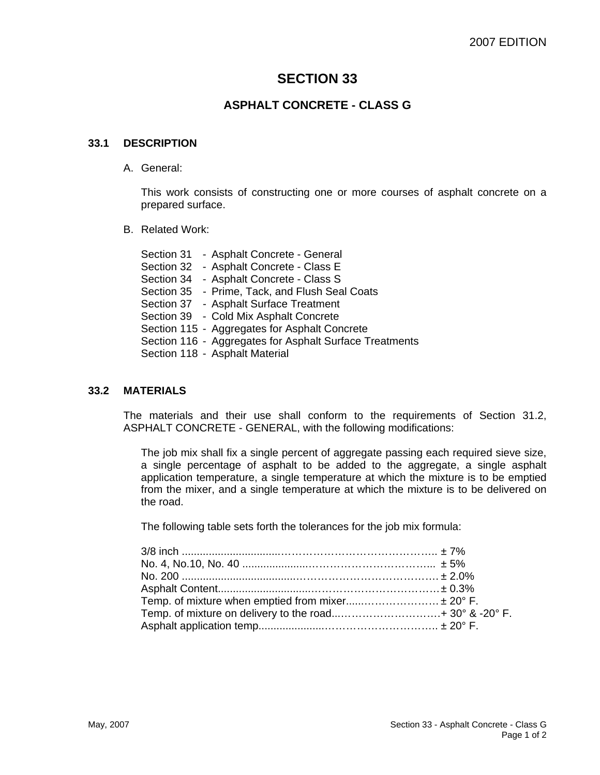# **SECTION 33**

# **ASPHALT CONCRETE - CLASS G**

## **33.1 DESCRIPTION**

A. General:

This work consists of constructing one or more courses of asphalt concrete on a prepared surface.

B. Related Work:

Section 31 - Asphalt Concrete - General Section 32 - Asphalt Concrete - Class E Section 34 - Asphalt Concrete - Class S Section 35 - Prime, Tack, and Flush Seal Coats Section 37 - Asphalt Surface Treatment Section 39 - Cold Mix Asphalt Concrete Section 115 - Aggregates for Asphalt Concrete Section 116 - Aggregates for Asphalt Surface Treatments Section 118 - Asphalt Material

## **33.2 MATERIALS**

The materials and their use shall conform to the requirements of Section 31.2, ASPHALT CONCRETE - GENERAL, with the following modifications:

The job mix shall fix a single percent of aggregate passing each required sieve size, a single percentage of asphalt to be added to the aggregate, a single asphalt application temperature, a single temperature at which the mixture is to be emptied from the mixer, and a single temperature at which the mixture is to be delivered on the road.

The following table sets forth the tolerances for the job mix formula:

| Temp. of mixture when emptied from mixer ± 20° F. |  |
|---------------------------------------------------|--|
|                                                   |  |
|                                                   |  |